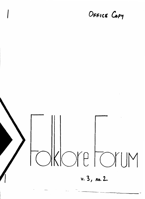